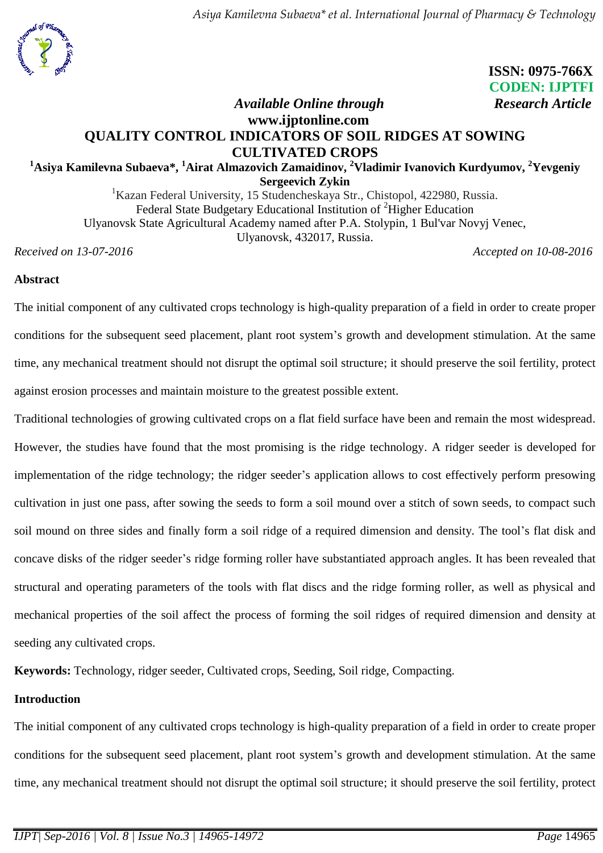

# **ISSN: 0975-766X CODEN: IJPTFI**

## *Available Online through Research Article* **www.ijptonline.com QUALITY CONTROL INDICATORS OF SOIL RIDGES AT SOWING CULTIVATED CROPS**

#### **<sup>1</sup>Asiyа Kamilevna Subaeva\*, <sup>1</sup>Airat Almazovich Zamaidinov, <sup>2</sup>Vladimir Ivanovich Kurdyumov, <sup>2</sup>Yevgeniy Sergeevich Zykin**

<sup>1</sup>Kazan Federal University, 15 Studencheskaya Str., Chistopol, 422980, Russia. Federal State Budgetary Educational Institution of <sup>2</sup>Higher Education Ulyanovsk State Agricultural Academy named after P.A. Stolypin, 1 Bul'var Novyj Venec, Ulyanovsk, 432017, Russia.

*Received on 13-07-2016 Accepted on 10-08-2016* 

## **Abstract**

The initial component of any cultivated crops technology is high-quality preparation of a field in order to create proper conditions for the subsequent seed placement, plant root system's growth and development stimulation. At the same time, any mechanical treatment should not disrupt the optimal soil structure; it should preserve the soil fertility, protect against erosion processes and maintain moisture to the greatest possible extent.

Traditional technologies of growing cultivated crops on a flat field surface have been and remain the most widespread. However, the studies have found that the most promising is the ridge technology. A ridger seeder is developed for implementation of the ridge technology; the ridger seeder's application allows to cost effectively perform presowing cultivation in just one pass, after sowing the seeds to form a soil mound over a stitch of sown seeds, to compact such soil mound on three sides and finally form a soil ridge of a required dimension and density. The tool's flat disk and concave disks of the ridger seeder's ridge forming roller have substantiated approach angles. It has been revealed that structural and operating parameters of the tools with flat discs and the ridge forming roller, as well as physical and mechanical properties of the soil affect the process of forming the soil ridges of required dimension and density at seeding any cultivated crops.

**Keywords:** Technology, ridger seeder, Cultivated crops, Seeding, Soil ridge, Compacting.

### **Introduction**

The initial component of any cultivated crops technology is high-quality preparation of a field in order to create proper conditions for the subsequent seed placement, plant root system's growth and development stimulation. At the same time, any mechanical treatment should not disrupt the optimal soil structure; it should preserve the soil fertility, protect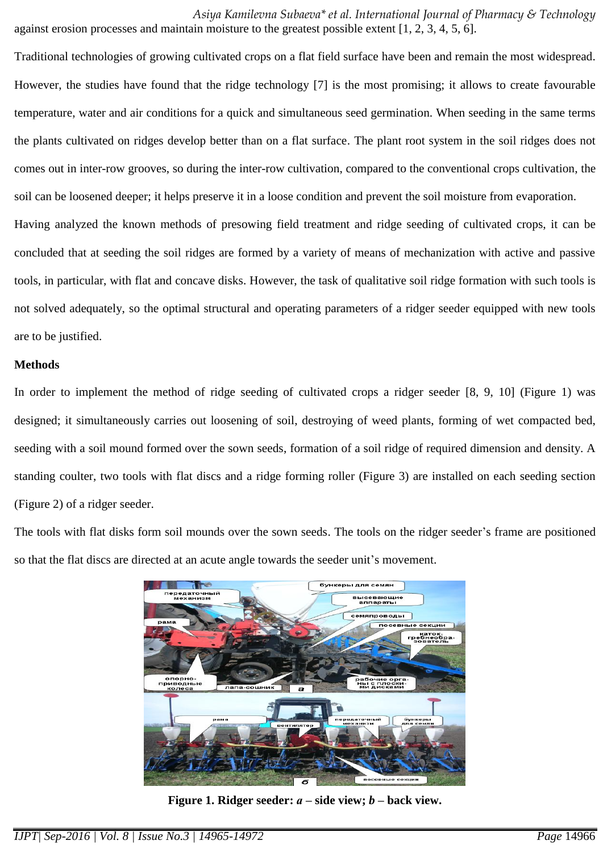*Asiyа Kamilevna Subaeva\* et al. International Journal of Pharmacy & Technology* against erosion processes and maintain moisture to the greatest possible extent [1, 2, 3, 4, 5, 6].

Traditional technologies of growing cultivated crops on a flat field surface have been and remain the most widespread. However, the studies have found that the ridge technology [7] is the most promising; it allows to create favourable temperature, water and air conditions for a quick and simultaneous seed germination. When seeding in the same terms the plants cultivated on ridges develop better than on a flat surface. The plant root system in the soil ridges does not comes out in inter-row grooves, so during the inter-row cultivation, compared to the conventional crops cultivation, the soil can be loosened deeper; it helps preserve it in a loose condition and prevent the soil moisture from evaporation. Having analyzed the known methods of presowing field treatment and ridge seeding of cultivated crops, it can be concluded that at seeding the soil ridges are formed by a variety of means of mechanization with active and passive tools, in particular, with flat and concave disks. However, the task of qualitative soil ridge formation with such tools is not solved adequately, so the optimal structural and operating parameters of a ridger seeder equipped with new tools are to be justified.

### **Methods**

In order to implement the method of ridge seeding of cultivated crops a ridger seeder [8, 9, 10] (Figure 1) was designed; it simultaneously carries out loosening of soil, destroying of weed plants, forming of wet compacted bed, seeding with a soil mound formed over the sown seeds, formation of a soil ridge of required dimension and density. A standing coulter, two tools with flat discs and a ridge forming roller (Figure 3) are installed on each seeding section (Figure 2) of a ridger seeder.

The tools with flat disks form soil mounds over the sown seeds. The tools on the ridger seeder's frame are positioned so that the flat discs are directed at an acute angle towards the seeder unit's movement.



**Figure 1. Ridger seeder:** *а* **– side view;** *b* **– back view.**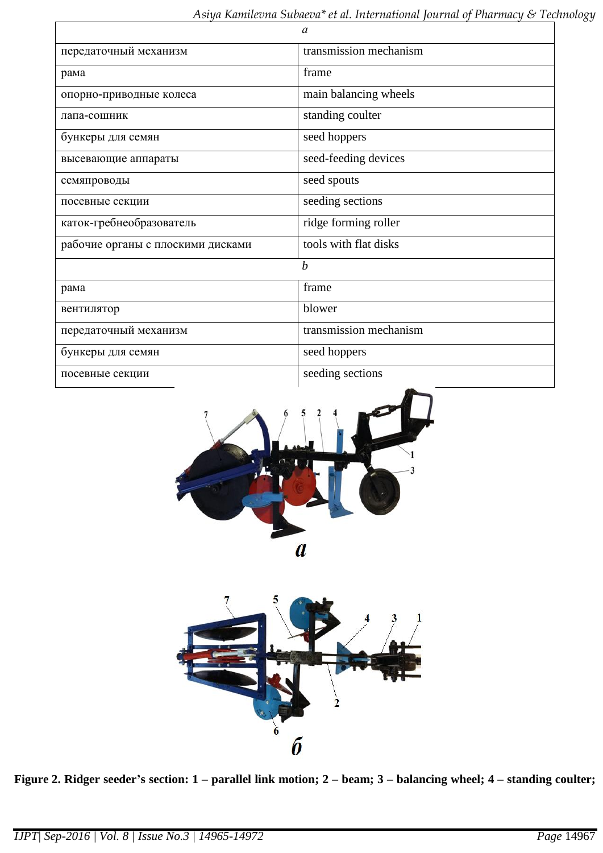|                                   | $\alpha$               |
|-----------------------------------|------------------------|
| передаточный механизм             | transmission mechanism |
| рама                              | frame                  |
| опорно-приводные колеса           | main balancing wheels  |
| лапа-сошник                       | standing coulter       |
| бункеры для семян                 | seed hoppers           |
| высевающие аппараты               | seed-feeding devices   |
| семяпроводы                       | seed spouts            |
| посевные секции                   | seeding sections       |
| каток-гребнеобразователь          | ridge forming roller   |
| рабочие органы с плоскими дисками | tools with flat disks  |
|                                   | $\boldsymbol{b}$       |
| рама                              | frame                  |
| вентилятор                        | blower                 |
| передаточный механизм             | transmission mechanism |
| бункеры для семян                 | seed hoppers           |
| посевные секции                   | seeding sections       |





**Figure 2. Ridger seeder's section: 1 – parallel link motion; 2 – beam; 3 – balancing wheel; 4 – standing coulter;**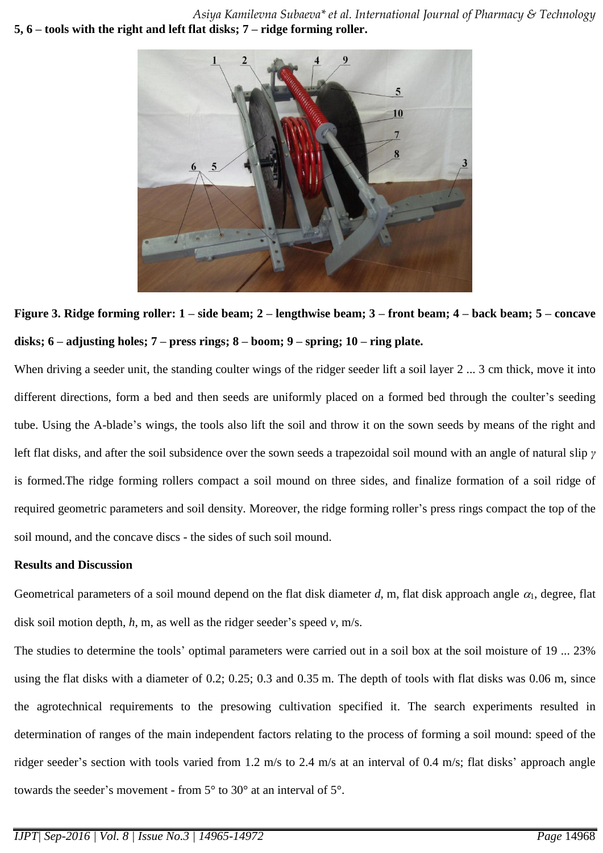*Asiyа Kamilevna Subaeva\* et al. International Journal of Pharmacy & Technology* **5, 6 – tools with the right and left flat disks; 7 – ridge forming roller.**



**Figure 3. Ridge forming roller: 1 – side beam; 2 – lengthwise beam; 3 – front beam; 4 – back beam; 5 – concave disks; 6 – adjusting holes; 7 – press rings; 8 – boom; 9 – spring; 10 – ring plate.**

When driving a seeder unit, the standing coulter wings of the ridger seeder lift a soil layer 2 ... 3 cm thick, move it into different directions, form a bed and then seeds are uniformly placed on a formed bed through the coulter's seeding tube. Using the A-blade's wings, the tools also lift the soil and throw it on the sown seeds by means of the right and left flat disks, and after the soil subsidence over the sown seeds a trapezoidal soil mound with an angle of natural slip *γ*  is formed.The ridge forming rollers compact a soil mound on three sides, and finalize formation of a soil ridge of required geometric parameters and soil density. Moreover, the ridge forming roller's press rings compact the top of the soil mound, and the concave discs - the sides of such soil mound.

#### **Results and Discussion**

Geometrical parameters of a soil mound depend on the flat disk diameter  $d$ , m, flat disk approach angle  $\alpha_1$ , degree, flat disk soil motion depth, *h*, m, as well as the ridger seeder's speed *v*, m/s.

The studies to determine the tools' optimal parameters were carried out in a soil box at the soil moisture of 19 ... 23% using the flat disks with a diameter of 0.2; 0.25; 0.3 and 0.35 m. The depth of tools with flat disks was 0.06 m, since the agrotechnical requirements to the presowing cultivation specified it. The search experiments resulted in determination of ranges of the main independent factors relating to the process of forming a soil mound: speed of the ridger seeder's section with tools varied from 1.2 m/s to 2.4 m/s at an interval of 0.4 m/s; flat disks' approach angle towards the seeder's movement - from 5° to 30° at an interval of 5°.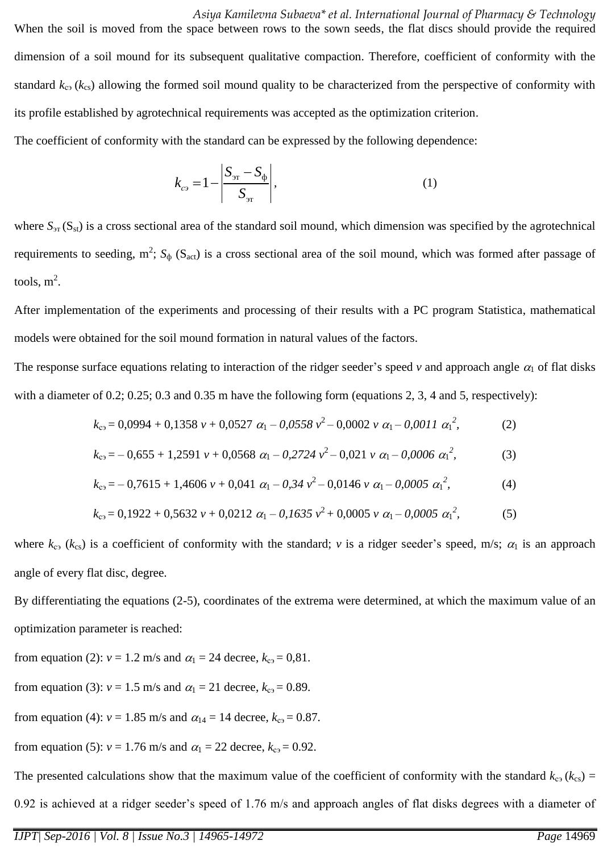*Asiyа Kamilevna Subaeva\* et al. International Journal of Pharmacy & Technology* When the soil is moved from the space between rows to the sown seeds, the flat discs should provide the required dimension of a soil mound for its subsequent qualitative compaction. Therefore, coefficient of conformity with the standard  $k_{c3}$  ( $k_{cs}$ ) allowing the formed soil mound quality to be characterized from the perspective of conformity with its profile established by agrotechnical requirements was accepted as the optimization criterion. The coefficient of conformity with the standard can be expressed by the following dependence:

> $\sigma_{\rm cr} - \sigma_{\rm dp}$ эт  $\epsilon_{c3} = 1$  $S_{\rm 3T} - S$ *k S*  $=1-\frac{S_{\rm{5}}}{\sigma}$  $,$  (1)

where  $S_{\text{3T}}(S_{\text{st}})$  is a cross sectional area of the standard soil mound, which dimension was specified by the agrotechnical requirements to seeding,  $m^2$ ;  $S_{\phi}$  ( $S_{act}$ ) is a cross sectional area of the soil mound, which was formed after passage of tools,  $m^2$ .

After implementation of the experiments and processing of their results with a PC program Statistica, mathematical models were obtained for the soil mound formation in natural values of the factors.

The response surface equations relating to interaction of the ridger seeder's speed  $v$  and approach angle  $\alpha_1$  of flat disks with a diameter of 0.2; 0.25; 0.3 and 0.35 m have the following form (equations 2, 3, 4 and 5, respectively):

$$
k_{c3} = 0,0994 + 0,1358 \nu + 0,0527 \alpha_1 - 0,0558 \nu^2 - 0,0002 \nu \alpha_1 - 0,0011 \alpha_1^2,\tag{2}
$$

$$
k_{c3} = -0.655 + 1.2591 \nu + 0.0568 \alpha_1 - 0.2724 \nu^2 - 0.021 \nu \alpha_1 - 0.0006 \alpha_1^2, \tag{3}
$$

$$
k_{c3} = -0.7615 + 1,4606 \nu + 0,041 \alpha_1 - 0.34 \nu^2 - 0,0146 \nu \alpha_1 - 0,0005 \alpha_1^2,
$$
 (4)

$$
k_{c9} = 0,1922 + 0,5632 \nu + 0,0212 \alpha_1 - 0,1635 \nu^2 + 0,0005 \nu \alpha_1 - 0,0005 \alpha_1^2,\tag{5}
$$

where  $k_{c3}$  ( $k_{cs}$ ) is a coefficient of conformity with the standard; *v* is a ridger seeder's speed, m/s;  $\alpha_1$  is an approach angle of every flat disc, degree.

By differentiating the equations (2-5), coordinates of the extrema were determined, at which the maximum value of an optimization parameter is reached:

from equation (2):  $v = 1.2$  m/s and  $\alpha_1 = 24$  decree,  $k_{c3} = 0.81$ .

from equation (3):  $v = 1.5$  m/s and  $\alpha_1 = 21$  decree,  $k_{c3} = 0.89$ .

from equation (4):  $v = 1.85$  m/s and  $\alpha_{14} = 14$  decree,  $k_{c3} = 0.87$ .

from equation (5):  $v = 1.76$  m/s and  $\alpha_1 = 22$  decree,  $k_{cs} = 0.92$ .

The presented calculations show that the maximum value of the coefficient of conformity with the standard  $k_{c3}$  ( $k_{cs}$ ) = 0.92 is achieved at a ridger seeder's speed of 1.76 m/s and approach angles of flat disks degrees with a diameter of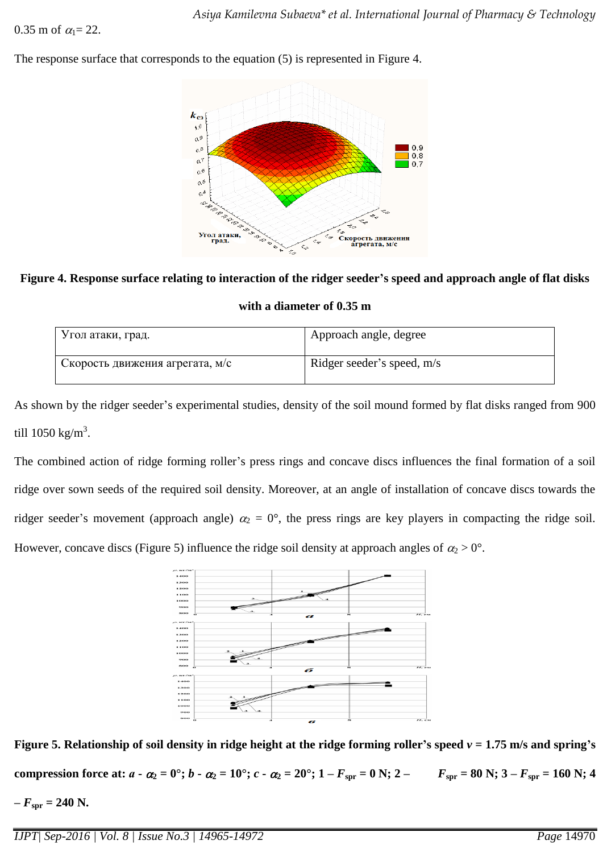The response surface that corresponds to the equation (5) is represented in Figure 4.



**Figure 4. Response surface relating to interaction of the ridger seeder's speed and approach angle of flat disks** 

**with a diameter of 0.35 m**

| Угол атаки, град.               | Approach angle, degree     |
|---------------------------------|----------------------------|
| Скорость движения агрегата, м/с | Ridger seeder's speed, m/s |

As shown by the ridger seeder's experimental studies, density of the soil mound formed by flat disks ranged from 900 till 1050 kg/m<sup>3</sup>.

The combined action of ridge forming roller's press rings and concave discs influences the final formation of a soil ridge over sown seeds of the required soil density. Moreover, at an angle of installation of concave discs towards the ridger seeder's movement (approach angle)  $\alpha_2 = 0^\circ$ , the press rings are key players in compacting the ridge soil. However, concave discs (Figure 5) influence the ridge soil density at approach angles of  $\alpha_2 > 0^\circ$ .



**Figure 5. Relationship of soil density in ridge height at the ridge forming roller's speed** *v* **= 1.75 m/s and spring's** 

compression force at:  $a - \alpha_2 = 0^\circ$ ;  $b - \alpha_2 = 10^\circ$ ;  $c - \alpha_2 = 20^\circ$ ;  $1 - F_{spr} = 0$  N;  $2 - F_{spr} = 80$  N;  $3 - F_{spr} = 160$  N; 4

 $-F_{spr} = 240$  N.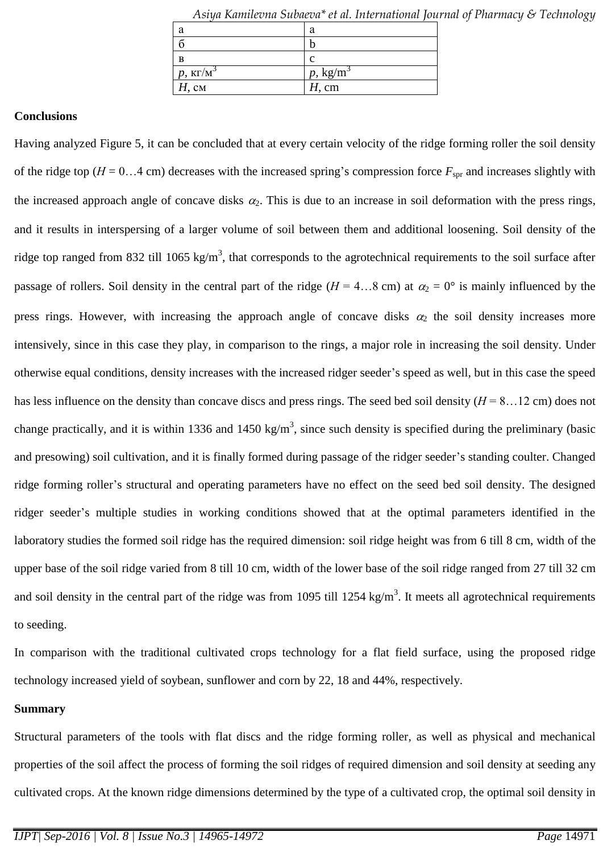| a                      | a                  |
|------------------------|--------------------|
|                        |                    |
| B                      |                    |
| $p, \kappa \Gamma/M^3$ | $p, \text{kg/m}^3$ |
| $H$ , CM               | $H$ , cm           |

*Asiyа Kamilevna Subaeva\* et al. International Journal of Pharmacy & Technology*

## **Conclusions**

Having analyzed Figure 5, it can be concluded that at every certain velocity of the ridge forming roller the soil density of the ridge top ( $H = 0...4$  cm) decreases with the increased spring's compression force  $F_{spr}$  and increases slightly with the increased approach angle of concave disks  $\alpha_2$ . This is due to an increase in soil deformation with the press rings, and it results in interspersing of a larger volume of soil between them and additional loosening. Soil density of the ridge top ranged from 832 till 1065 kg/m<sup>3</sup>, that corresponds to the agrotechnical requirements to the soil surface after passage of rollers. Soil density in the central part of the ridge ( $H = 4...8$  cm) at  $\alpha_2 = 0^\circ$  is mainly influenced by the press rings. However, with increasing the approach angle of concave disks  $\alpha_2$  the soil density increases more intensively, since in this case they play, in comparison to the rings, a major role in increasing the soil density. Under otherwise equal conditions, density increases with the increased ridger seeder's speed as well, but in this case the speed has less influence on the density than concave discs and press rings. The seed bed soil density ( $H = 8...12$  cm) does not change practically, and it is within 1336 and 1450 kg/m<sup>3</sup>, since such density is specified during the preliminary (basic and presowing) soil cultivation, and it is finally formed during passage of the ridger seeder's standing coulter. Changed ridge forming roller's structural and operating parameters have no effect on the seed bed soil density. The designed ridger seeder's multiple studies in working conditions showed that at the optimal parameters identified in the laboratory studies the formed soil ridge has the required dimension: soil ridge height was from 6 till 8 cm, width of the upper base of the soil ridge varied from 8 till 10 cm, width of the lower base of the soil ridge ranged from 27 till 32 cm and soil density in the central part of the ridge was from 1095 till 1254 kg/m<sup>3</sup>. It meets all agrotechnical requirements to seeding.

In comparison with the traditional cultivated crops technology for a flat field surface, using the proposed ridge technology increased yield of soybean, sunflower and corn by 22, 18 and 44%, respectively.

#### **Summary**

Structural parameters of the tools with flat discs and the ridge forming roller, as well as physical and mechanical properties of the soil affect the process of forming the soil ridges of required dimension and soil density at seeding any cultivated crops. At the known ridge dimensions determined by the type of a cultivated crop, the optimal soil density in